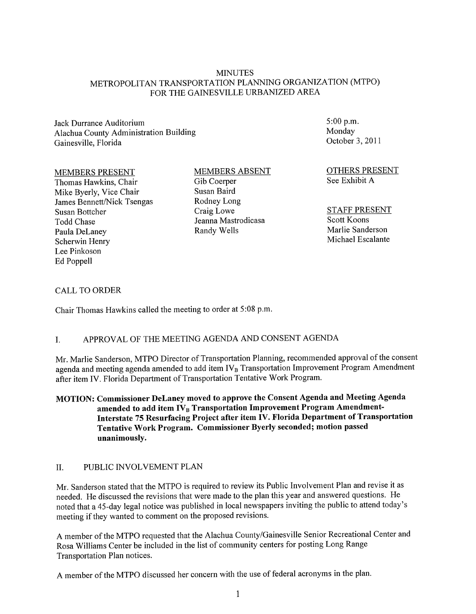#### MINUTES METROPOLITAN TRANSPORTATION PLANNING ORGANIZATION (MTPO) FOR THE GAINESVILLE URBANIZED AREA

Jack Durrance Auditorium Alachua County Administration Building Gainesville, Florida

#### MEMBERS PRESENT

Thomas Hawkins, Chair Mike Byerly, Vice Chair James Bennett/Nick Tsengas Susan Bottcher Todd Chase Paula DeLaney Scherwin Henry Lee Pinkoson Ed Poppell

#### MEMBERS ABSENT Gib Coerper Susan Baird Rodney Long Craig Lowe Jeanna Mastrodicasa Randy Wells

5:00 p.m. Monday October 3, 2011

OTHERS PRESENT See Exhibit A

#### STAFF PRESENT Scott Koons Marlie Sanderson Michael Escalante

#### CALL TO ORDER

Chair Thomas Hawkins called the meeting to order at 5:08 p.m.

# I. APPROV AL OF THE MEETING AGENDA AND CONSENT AGENDA

Mr. Marlie Sanderson, MTPO Director of Transportation Planning, recommended approval of the consent agenda and meeting agenda amended to add item  $IV_B$  Transportation Improvement Program Amendment after item IV. Florida Department of Transportation Tentative Work Program.

MOTION: Commissioner DeLaney moved to approve the Consent Agenda and Meeting Agenda amended to add item IV<sub>B</sub> Transportation Improvement Program Amendment-Interstate 75 Resurfacing Project after item IV. Florida Department of Transportation Tentative Work Program. Commissioner Byerly seconded; motion passed unanimously.

#### II. PUBLIC INVOLVEMENT PLAN

Mr. Sanderson stated that the MTPO is required to review its Public Involvement Plan and revise it as needed. He discussed the revisions that were made to the plan this year and answered questions. He noted that a 45-day legal notice was published in local newspapers inviting the public to attend today's meeting if they wanted to comment on the proposed revisions.

A member of the MTPO requested that the Alachua County/Gainesville Senior Recreational Center and Rosa Williams Center be included in the list of community centers for posting Long Range Transportation Plan notices.

A member of the MTPO discussed her concern with the use of federal acronyms in the plan.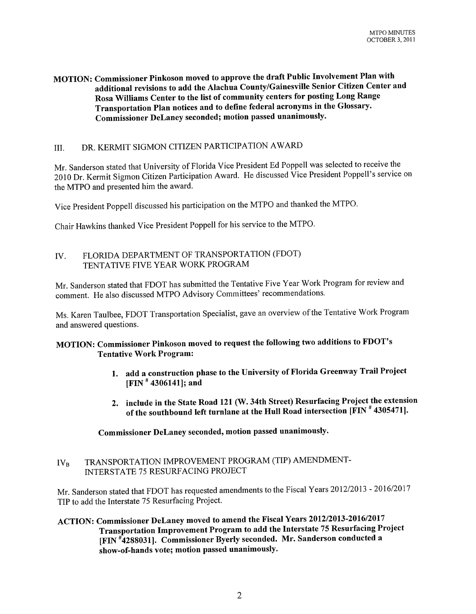### **MOTION: Commissioner Pinkoson moved to approve the draft Public Involvement Plan with additioual revisions to add the Alachua County/Gainesville Senior Citizen Center and Rosa Williams Center to the list of community centers for posting Long Range Transportation Plan notices and to define federal acronyms in the Glossary. Commissioner DeLaney seconded; motion passed unanimously.**

# III. DR. KERMIT SIGMON CITIZEN PARTICIPATION AWARD

Mr. Sanderson stated that University of Florida Vice President Ed Poppell was selected to receive the 2010 Dr. Kermit Sigmon Citizen Participation Award. He discussed Vice President Poppell's service on the MTPO and presented him the award.

Vice President Poppell discussed his participation on the MTPO and thanked the MTPO.

Chair Hawkins thanked Vice President Poppell for his service to the MTPO.

#### IV. FLORIDA DEPARTMENT OF TRANSPORTATION (FDOT) TENTATIVE FIVE YEAR WORK PROGRAM

Mr. Sanderson stated that FDOT has submitted the Tentative Five Year Work Program for review and comment. He also discussed MTPO Advisory Committees' recommendations.

Ms. Karen Taulbee, FDOT Transportation Specialist, gave an overview of the Tentative Work Program and answered questions.

# **MOTION: Commissioner Pinkoson moved to request the following two additions to FDOT's Tentative Work Program:**

- **1. add a construction phase to the University** of Florida **Greenway Trail Project [FIN # 4306141]; and**
- **2. include in the State Road 121 (W. 34th Street) Resurfacing Project the extension**  of the **southbound left turnlane at the Hull Road intersection [FIN # 4305471].**

**Commissioner DeLaney seconded, motion passed unanimously.** 

IV<sub>B</sub> TRANSPORTATION IMPROVEMENT PROGRAM (TIP) AMENDMENT-INTERSTATE 75 RESURFACING PROJECT

Mr. Sanderson stated that FDOT has requested amendments to the Fiscal Years 2012/2013 - 2016/2017 TIP to add the Interstate 75 Resurfacing Project.

**ACTION: Commissioner DeLaney moved to amend the Fiscal Years 2012/2013-2016/2017 Transportation Improvement Program to add the Interstate 75 Resurfacing Project [FIN #4288031]. Commissioner Byerly seconded. Mr. Sanderson conducted a show-of-hands vote; motion passed unanimously.**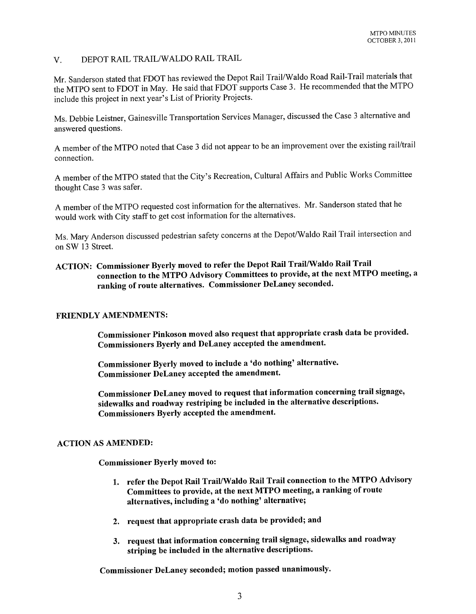### V. DEPOT RAIL TRAIL/WALDO RAIL TRAIL

Mr. Sanderson stated that FDOT has reviewed the Depot Rail Trail/Waldo Road Rail-Trail materials that the MTPO sent to FDOT in May. He said that FDOT supports Case 3. He recommended that the MTPO include this project in next year's List of Priority Projects.

Ms. Debbie Leistner, Gainesville Transportation Services Manager, discussed the Case 3 alternative and answered questions.

A member of the MTPO noted that Case 3 did not appear to be an improvement over the existing rail/trail connection.

A member of the MTPO stated that the City's Recreation, Cultural Affairs and Public Works Committee thought Case 3 was safer.

A member of the MTPO requested cost information for the alternatives. Mr. Sanderson stated that he would work with City staff to get cost information for the alternatives.

Ms. Mary Anderson discussed pedestrian safety concerns at the Depot/Waldo Rail Trail intersection and on SW 13 Street.

### ACTION: Commissioner Byerly moved to refer the Depot Rail Trail/Waldo Rail Trail connection to the MTPO Advisory Committees to provide, at the next MTPO meeting, a ranking of route alternatives. Commissioner DeLaney seconded.

#### FRIENDLY AMENDMENTS:

Commissioner Pinkoson moved also request that appropriate crash data be provided. Commissioners Byerly and DeLaney accepted the amendment.

Commissioner Byerly moved to include a 'do nothing' alternative. Commissioner DeLaney accepted the amendment.

Commissioner DeLaney moved to request that information concerning trail signage, sidewalks and roadway restriping be included in the alternative descriptions. Commissioners Byerly accepted the amendment.

#### ACTION AS AMENDED:

Commissioner Byerly moved to:

- 1. refer the Depot Rail Trail/Waldo Rail Trail connection to the MTPO Advisory Committees to provide, at the next MTPO meeting, a ranking of route alternatives, including a 'do nothing' alternative;
- 2. request that appropriate crash data be provided; and
- 3. request that information concerning trail signage, sidewalks and roadway striping be included in the alternative descriptions.

Commissioner DeLaney seconded; motion passed unanimously.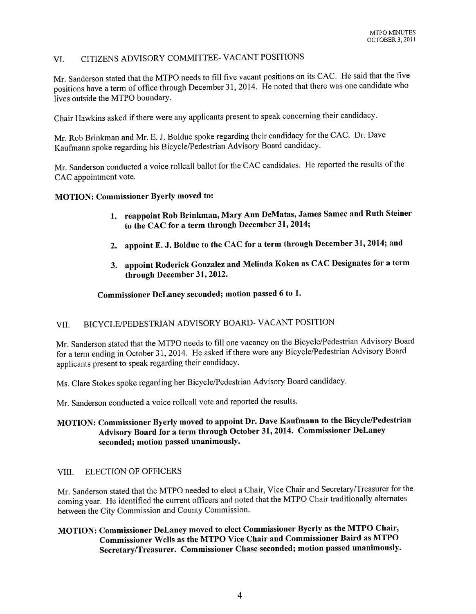# VI. CITIZENS ADVISORY COMMITTEE- VACANT POSITIONS

Mr. Sanderson stated that the MTPO needs to fill five vacant positions on its CAC. He said that the five positions have a term of office through December 31,2014. He noted that there was one candidate who lives outside the MTPO boundary.

Chair Hawkins asked if there were any applicants present to speak concerning their candidacy.

Mr. Rob Brinkman and Mr. E. J. Bolduc spoke regarding their candidacy for the CAC. Dr. Dave Kaufmann spoke regarding his Bicycle/Pedestrian Advisory Board candidacy.

Mr. Sanderson conducted a voice rollcall ballot for the CAC candidates. He reported the results of the CAC appointment vote.

#### MOTION: Commissioner Byerly moved to:

- 1. reappoint Rob Brinkman, Mary Ann DeMatas, James Samec and Ruth Steiner to the CAC for a term through December 31,2014;
- 2. appoint E. J. Bolduc to the CAC for a term through December 31, 2014; and
- 3. appoint Roderick Gonzalez and Melinda Koken as CAC Designates for a term through December 31, 2012.

#### Commissioner DeLaney seconded; motion passed 6 to 1.

# VII. BICYCLE/PEDESTRIAN ADVISORY BOARD- VACANT POSITION

Mr. Sanderson stated that the MTPO needs to fill one vacancy on the Bicycle/Pedestrian Advisory Board for a term ending in October 31,2014. He asked if there were any Bicycle/Pedestrian Advisory Board applicants present to speak regarding their candidacy.

Ms. Clare Stokes spoke regarding her Bicycle/Pedestrian Advisory Board candidacy.

Mr. Sanderson conducted a voice rollcall vote and reported the results.

# MOTION: Commissioner Byerly moved to appoint Dr. Dave Kaufmann to the Bicycle/Pedestrian Advisory Board for a term through October 31, 2014. Commissioner DeLaney seconded; motion passed unanimously.

#### VIII. ELECTION OF OFFICERS

Mr. Sanderson stated that the MTPO needed to elect a Chair, Vice Chair and Secretary/Treasurer for the coming year. He identified the current officers and noted that the MTPO Chair traditionally alternates between the City Commission and County Commission.

# MOTION: Commissioner DeLaney moved to elect Commissioner Byerly as the MTPO Chair, Commissioner Wells as the MTPO Vice Chair and Commissioner Baird as MTPO Secretary/Treasurer. Commissioner Chase seconded; motion passed unanimously.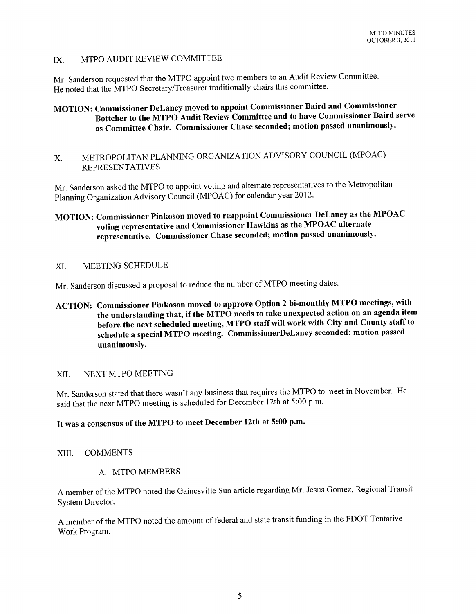# IX. MTPO AUDIT REVIEW COMMITTEE

Mr. Sanderson requested that the MTPO appoint two members to an Audit Review Committee. He noted that the MTPO Secretary/Treasurer traditionally chairs this committee.

# MOTION: Commissioner DeLaney moved to appoint Commissioner Baird and Commissioner Bottcher to the MTPO Audit Review Committee and to have Commissioner Baird serve as Committee Chair. Commissioner Chase seconded; motion passed unanimously.

# X. METROPOLITAN PLANNING ORGANIZATION ADVISORY COUNCIL (MPOAC) **REPRESENTATIVES**

Mr. Sanderson asked the MTPO to appoint voting and alternate representatives to the Metropolitan Planning Organization Advisory Council (MPOAC) for calendar year 2012.

# MOTION: Commissioner Pinkoson moved to reappoint Commissioner DeLaney as the MPOAC voting representative and Commissioner Hawkins as the MPOAC alternate representative. Commissioner Chase seconded; motion passed unanimously.

#### XI. MEETING SCHEDULE

Mr. Sanderson discussed a proposal to reduce the number of MTPO meeting dates.

ACTION: Commissioner Pinkoson moved to approve Option 2 bi-monthly MTPO meetings, with the understanding that, if the MTPO needs to take unexpected action on an agenda item before the next scheduled meeting, MTPO staff will work with City and County staff to schedule a special MTPO meeting. CommissionerDeLaney seconded; motion passed unanimously.

#### XII. NEXT MTPO MEETING

Mr. Sanderson stated that there wasn't any business that requires the MTPO to meet in November. He said that the next MTPO meeting is scheduled for December 12th at 5:00 p.m.

# It was a consensus of the MTPO to meet December 12th at 5:00 p.m.

#### XIII. COMMENTS

#### A. MTPO MEMBERS

A member of the MTPO noted the Gainesville Sun article regarding Mr. Jesus Gomez, Regional Transit System Director.

A member of the MTPO noted the amount of federal and state transit funding in the FDOT Tentative Work Program.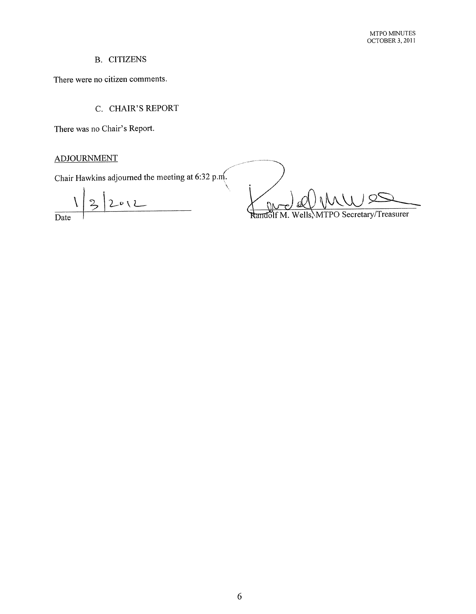# B. CITIZENS

There were no citizen comments.

C. CHAIR'S REPORT

There was no Chair's Report.

# ADJOURNMENT

Chair Hawkins adjourned the meeting at 6:32 p.m.

 $\mathcal{L}_{\mathcal{E}}$ 

 $\overline{2}$  $2012$ Date

**DK** 

Wells, MTPO Secretary/Treasurer Randolf M.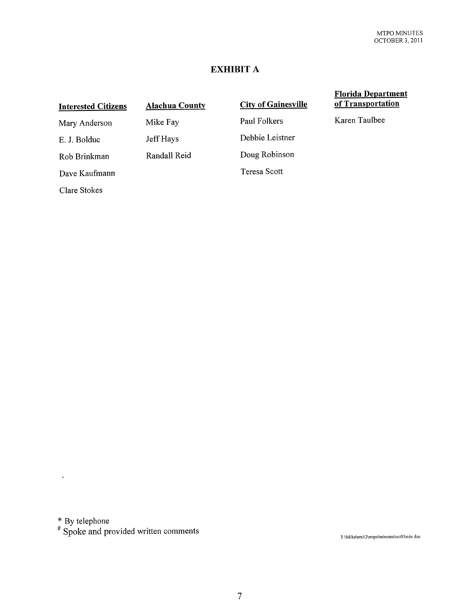# **EXHIBIT A**

#### Interested Citizens Mary Anderson E. J. Bolduc Rob Brinkman Dave Kaufmann Clare Stokes Alachua County Mike Fay Jeff Hays Randall Reid **City of Gainesville** Paul Folkers Debbie Leistner Doug Robinson Teresa Scott Florida Department of Transportation Karen Taulbee

\* By telephone

 $\ddot{\phantom{0}}$ 

<sup>#</sup> Spoke and provided written comments

T :\Mike\em 12\mtpo\minutes\oct03min doc